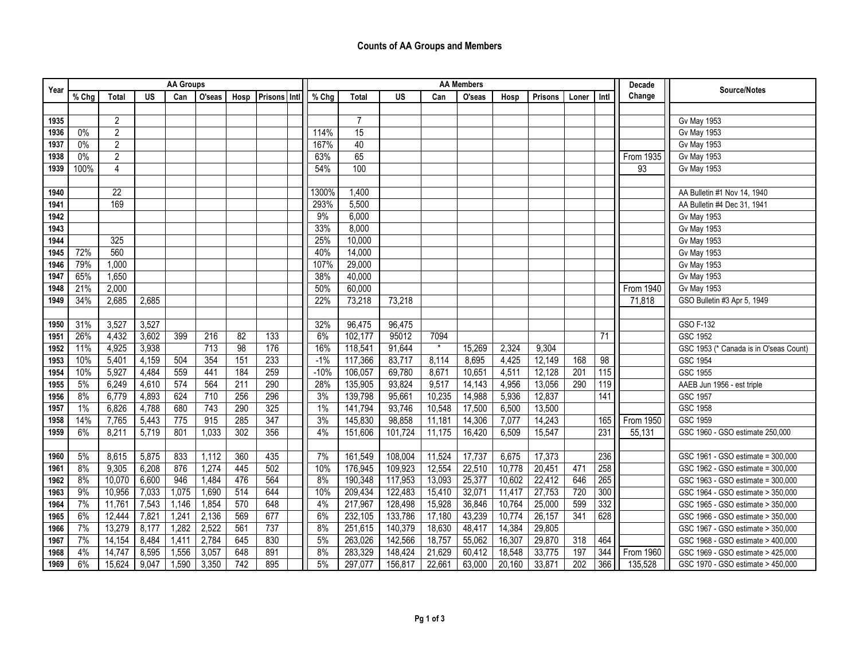| Year | <b>AA Groups</b> |                |           |                  |                  |                 |                     |  | <b>AA Members</b> |                |           |         |        |        |                |                  |                 | Decade           | Source/Notes                           |
|------|------------------|----------------|-----------|------------------|------------------|-----------------|---------------------|--|-------------------|----------------|-----------|---------|--------|--------|----------------|------------------|-----------------|------------------|----------------------------------------|
|      | % Chg            | <b>Total</b>   | <b>US</b> | Can              | O'seas           | Hosp            | <b>Prisons</b> Intl |  | % Chg             | <b>Total</b>   | <b>US</b> | Can     | O'seas | Hosp   | <b>Prisons</b> | Loner            | Intl            | Change           |                                        |
|      |                  |                |           |                  |                  |                 |                     |  |                   |                |           |         |        |        |                |                  |                 |                  |                                        |
| 1935 |                  | $\overline{2}$ |           |                  |                  |                 |                     |  |                   | $\overline{7}$ |           |         |        |        |                |                  |                 |                  | <b>Gv May 1953</b>                     |
| 1936 | $0\%$            | $\overline{2}$ |           |                  |                  |                 |                     |  | 114%              | 15             |           |         |        |        |                |                  |                 |                  | <b>Gv May 1953</b>                     |
| 1937 | 0%               | $\overline{2}$ |           |                  |                  |                 |                     |  | 167%              | 40             |           |         |        |        |                |                  |                 |                  | <b>Gv May 1953</b>                     |
| 1938 | $0\%$            | 2              |           |                  |                  |                 |                     |  | 63%               | 65             |           |         |        |        |                |                  |                 | From 1935        | <b>Gv May 1953</b>                     |
| 1939 | 100%             | $\overline{4}$ |           |                  |                  |                 |                     |  | 54%               | 100            |           |         |        |        |                |                  |                 | 93               | <b>Gv May 1953</b>                     |
|      |                  |                |           |                  |                  |                 |                     |  |                   |                |           |         |        |        |                |                  |                 |                  |                                        |
| 1940 |                  | 22             |           |                  |                  |                 |                     |  | 1300%             | 1,400          |           |         |        |        |                |                  |                 |                  | AA Bulletin #1 Nov 14, 1940            |
| 1941 |                  | 169            |           |                  |                  |                 |                     |  | 293%              | 5,500          |           |         |        |        |                |                  |                 |                  | AA Bulletin #4 Dec 31, 1941            |
| 1942 |                  |                |           |                  |                  |                 |                     |  | 9%                | 6,000          |           |         |        |        |                |                  |                 |                  | <b>Gv May 1953</b>                     |
| 1943 |                  |                |           |                  |                  |                 |                     |  | 33%               | 8,000          |           |         |        |        |                |                  |                 |                  | <b>Gv May 1953</b>                     |
| 1944 |                  | 325            |           |                  |                  |                 |                     |  | 25%               | 10,000         |           |         |        |        |                |                  |                 |                  | <b>Gv May 1953</b>                     |
| 1945 | 72%              | 560            |           |                  |                  |                 |                     |  | 40%               | 14,000         |           |         |        |        |                |                  |                 |                  | <b>Gv May 1953</b>                     |
| 1946 | 79%              | 1,000          |           |                  |                  |                 |                     |  | 107%              | 29,000         |           |         |        |        |                |                  |                 |                  | <b>Gv May 1953</b>                     |
| 1947 | 65%              | 1,650          |           |                  |                  |                 |                     |  | 38%               | 40,000         |           |         |        |        |                |                  |                 |                  | <b>Gv May 1953</b>                     |
| 1948 | 21%              | 2,000          |           |                  |                  |                 |                     |  | 50%               | 60,000         |           |         |        |        |                |                  |                 | From 1940        | <b>Gv May 1953</b>                     |
| 1949 | 34%              | 2,685          | 2,685     |                  |                  |                 |                     |  | 22%               | 73,218         | 73,218    |         |        |        |                |                  |                 | 71,818           | GSO Bulletin #3 Apr 5, 1949            |
|      |                  |                |           |                  |                  |                 |                     |  |                   |                |           |         |        |        |                |                  |                 |                  |                                        |
| 1950 | 31%              | 3,527          | 3,527     |                  |                  |                 |                     |  | 32%               | 96,475         | 96,475    |         |        |        |                |                  |                 |                  | GSO F-132                              |
| 1951 | 26%              | 4,432          | 3,602     | 399              | 216              | 82              | 133                 |  | 6%                | 102,177        | 95012     | 7094    |        |        |                |                  | 71              |                  | GSC 1952                               |
| 1952 | 11%              | 4,925          | 3,938     |                  | $\overline{713}$ | $\overline{98}$ | 176                 |  | 16%               | 118,541        | 91,644    | $\star$ | 15,269 | 2,324  | 9,304          |                  |                 |                  | GSC 1953 (* Canada is in O'seas Count) |
| 1953 | 10%              | 5,401          | 4,159     | 504              | 354              | 151             | 233                 |  | $-1%$             | 117,366        | 83,717    | 8,114   | 8,695  | 4,425  | 12,149         | 168              | $\overline{98}$ |                  | GSC 1954                               |
| 1954 | 10%              | 5,927          | 4,484     | 559              | 441              | 184             | 259                 |  | $-10%$            | 106,057        | 69,780    | 8,671   | 10,651 | 4,511  | 12,128         | 201              | 115             |                  | GSC 1955                               |
| 1955 | 5%               | 6,249          | 4,610     | 574              | 564              | 211             | 290                 |  | 28%               | 135,905        | 93,824    | 9,517   | 14,143 | 4,956  | 13,056         | 290              | 119             |                  | AAEB Jun 1956 - est triple             |
| 1956 | 8%               | 6,779          | 4,893     | 624              | 710              | 256             | 296                 |  | 3%                | 139,798        | 95,661    | 10,235  | 14,988 | 5,936  | 12,837         |                  | 141             |                  | GSC 1957                               |
| 1957 | $1\%$            | 6,826          | 4,788     | 680              | 743              | 290             | 325                 |  | 1%                | 141,794        | 93,746    | 10,548  | 17,500 | 6,500  | 13,500         |                  |                 |                  | GSC 1958                               |
| 1958 | 14%              | 7,765          | 5,443     | $\overline{775}$ | 915              | 285             | $\overline{347}$    |  | 3%                | 145,830        | 98,858    | 11,181  | 14,306 | 7,077  | 14,243         |                  | 165             | <b>From 1950</b> | GSC 1959                               |
| 1959 | 6%               | 8,211          | 5,719     | 801              | 1,033            | 302             | 356                 |  | 4%                | 151,606        | 101,724   | 11,175  | 16,420 | 6,509  | 15,547         |                  | 231             | 55,131           | GSC 1960 - GSO estimate 250,000        |
|      |                  |                |           |                  |                  |                 |                     |  |                   |                |           |         |        |        |                |                  |                 |                  |                                        |
| 1960 | 5%               | 8,615          | 5,875     | 833              | 1,112            | 360             | 435                 |  | 7%                | 161,549        | 108,004   | 11,524  | 17,737 | 6,675  | 17,373         |                  | 236             |                  | GSC 1961 - GSO estimate = 300,000      |
| 1961 | 8%               | 9,305          | 6,208     | 876              | 1,274            | 445             | 502                 |  | 10%               | 176,945        | 109,923   | 12,554  | 22,510 | 10,778 | 20,451         | 471              | 258             |                  | GSC 1962 - GSO estimate = 300,000      |
| 1962 | 8%               | 10,070         | 6,600     | 946              | 1,484            | 476             | 564                 |  | 8%                | 190,348        | 117,953   | 13,093  | 25,377 | 10,602 | 22,412         | 646              | 265             |                  | GSC 1963 - GSO estimate = 300,000      |
| 1963 | 9%               | 10,956         | 7,033     | 1,075            | 1,690            | 514             | 644                 |  | 10%               | 209,434        | 122,483   | 15,410  | 32,071 | 11,417 | 27,753         | 720              | 300             |                  | GSC 1964 - GSO estimate > 350,000      |
| 1964 | 7%               | 11,761         | 7,543     | 1,146            | 1,854            | 570             | 648                 |  | 4%                | 217,967        | 128,498   | 15,928  | 36,846 | 10,764 | 25,000         | 599              | 332             |                  | GSC 1965 - GSO estimate > 350,000      |
| 1965 | 6%               | 12,444         | 7,821     | 1,241            | 2,136            | 569             | 677                 |  | 6%                | 232,105        | 133,786   | 17,180  | 43,239 | 10,774 | 26,157         | 341              | 628             |                  | GSC 1966 - GSO estimate > 350,000      |
| 1966 | 7%               | 13,279         | 8,177     | 1,282            | 2,522            | 561             | 737                 |  | 8%                | 251,615        | 140,379   | 18,630  | 48,417 | 14,384 | 29,805         |                  |                 |                  | GSC 1967 - GSO estimate > 350,000      |
| 1967 | 7%               | 14,154         | 8,484     | 1,411            | 2,784            | 645             | 830                 |  | 5%                | 263,026        | 142,566   | 18,757  | 55,062 | 16,307 | 29,870         | 318              | 464             |                  | GSC 1968 - GSO estimate > 400,000      |
| 1968 | 4%               | 14,747         | 8,595     | 1,556            | 3,057            | 648             | 891                 |  | 8%                | 283,329        | 148,424   | 21,629  | 60,412 | 18,548 | 33,775         | 197              | 344             | From 1960        | GSC 1969 - GSO estimate > 425,000      |
| 1969 | 6%               | 15,624         | 9,047     | 1,590            | 3,350            | 742             | 895                 |  | 5%                | 297,077        | 156,817   | 22,661  | 63,000 | 20,160 | 33,871         | $\overline{202}$ | 366             | 135,528          | GSC 1970 - GSO estimate > 450,000      |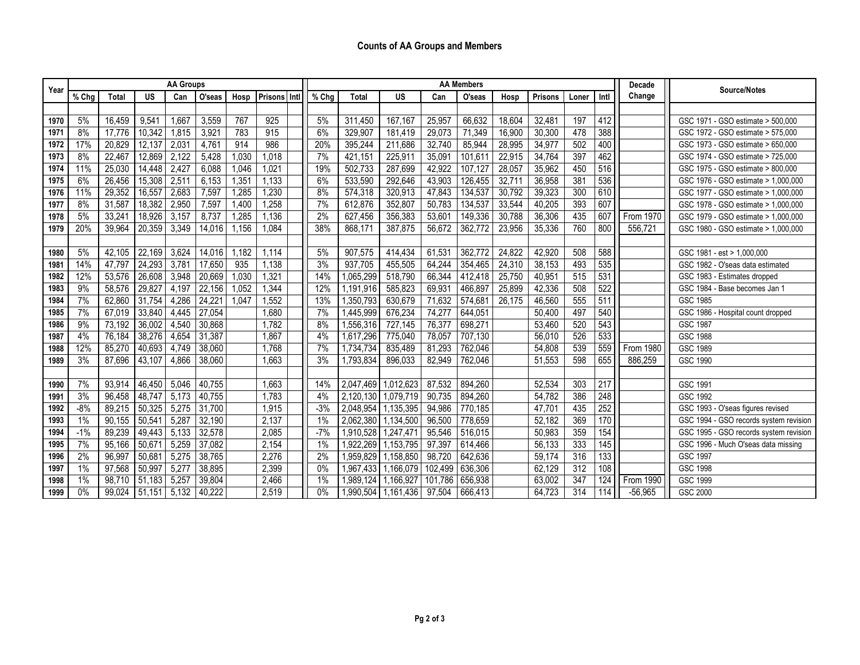| Year | <b>AA Groups</b> |              |        |       |        |       |                |        |       |           |           | <b>AA Members</b> | Decade  | Source/Notes |                |       |                  |                  |                                        |
|------|------------------|--------------|--------|-------|--------|-------|----------------|--------|-------|-----------|-----------|-------------------|---------|--------------|----------------|-------|------------------|------------------|----------------------------------------|
|      | % Chg            | <b>Total</b> | US     | Can   | O'seas | Hosp  | <b>Prisons</b> | l Intl | % Chg | Total     | <b>US</b> | Can               | O'seas  | Hosp         | <b>Prisons</b> | Loner | Intl             | Change           |                                        |
|      |                  |              |        |       |        |       |                |        |       |           |           |                   |         |              |                |       |                  |                  |                                        |
| 1970 | 5%               | 16,459       | 9,541  | ,66   | 3,559  | 767   | 925            |        | 5%    | 311,450   | 167,167   | 25,957            | 66,632  | 18,604       | 32,481         | 197   | $\overline{412}$ |                  | GSC 1971 - GSO estimate > 500,000      |
| 1971 | 8%               | 17,776       | 10,342 | 1,815 | 3,921  | 783   | 915            |        | 6%    | 329,907   | 181.419   | 29,073            | 71,349  | 16,900       | 30,300         | 478   | 388              |                  | GSC 1972 - GSO estimate > 575,000      |
| 1972 | 17%              | 20,829       | 12,137 | 2,031 | 4,761  | 914   | 986            |        | 20%   | 395.244   | 211.686   | 32,740            | 85,944  | 28,995       | 34.977         | 502   | 400              |                  | GSC 1973 - GSO estimate > 650,000      |
| 1973 | 8%               | 22,467       | 12,869 | 2,122 | 5,428  | 1,030 | 1,018          |        | 7%    | 421,151   | 225,911   | 35,091            | 101,611 | 22,915       | 34,764         | 397   | 462              |                  | GSC 1974 - GSO estimate > 725.000      |
| 1974 | 11%              | 25,030       | 14,448 | 2,427 | 6,088  | 1,046 | 1,021          |        | 19%   | 502,733   | 287,699   | 42,922            | 107,127 | 28,057       | 35,962         | 450   | $\overline{516}$ |                  | GSC 1975 - GSO estimate > 800,000      |
| 1975 | 6%               | 26,456       | 15,308 | 2,511 | 6,153  | 1,351 | 1,133          |        | 6%    | 533,590   | 292,646   | 43,903            | 126,455 | 32,711       | 36,958         | 381   | 536              |                  | GSC 1976 - GSO estimate > 1,000,000    |
| 1976 | 11%              | 29,352       | 16,557 | 2,683 | 7,597  | 1,285 | 1,230          |        | 8%    | 574,318   | 320.913   | 47,843            | 134,537 | 30,792       | 39,323         | 300   | 610              |                  | GSC 1977 - GSO estimate > 1,000,000    |
| 1977 | 8%               | 31,587       | 18,382 | 2,950 | 7,597  | 1,400 | 1,258          |        | 7%    | 612,876   | 352,807   | 50,783            | 134,537 | 33,544       | 40,205         | 393   | 607              |                  | GSC 1978 - GSO estimate > 1,000,000    |
| 1978 | 5%               | 33,24'       | 18,926 | 3,157 | 8,737  | 1,285 | 1,136          |        | 2%    | 627,456   | 356,383   | 53,601            | 149,336 | 30,788       | 36,306         | 435   | 607              | From 1970        | GSC 1979 - GSO estimate > 1.000.000    |
| 1979 | 20%              | 39,964       | 20,359 | 3,349 | 14,016 | 1,156 | 1,084          |        | 38%   | 868,171   | 387,875   | 56,672            | 362,772 | 23,956       | 35,336         | 760   | 800              | 556,721          | GSC 1980 - GSO estimate > 1,000,000    |
|      |                  |              |        |       |        |       |                |        |       |           |           |                   |         |              |                |       |                  |                  |                                        |
| 1980 | 5%               | 42,105       | 22,169 | 3,624 | 14,016 | 1,182 | 1,114          |        | 5%    | 907,575   | 414,434   | 61,531            | 362,772 | 24,822       | 42,920         | 508   | 588              |                  | GSC 1981 - est > 1,000,000             |
| 1981 | 14%              | 47,797       | 24,293 | 3,781 | 17,650 | 935   | 1,138          |        | 3%    | 937,705   | 455,505   | 64,244            | 354,465 | 24,310       | 38,153         | 493   | 535              |                  | GSC 1982 - O'seas data estimated       |
| 1982 | 12%              | 53,576       | 26,608 | 3,948 | 20,669 | 1,030 | 1,321          |        | 14%   | 1,065,299 | 518,790   | 66,344            | 412,418 | 25,750       | 40,951         | 515   | 531              |                  | GSC 1983 - Estimates dropped           |
| 1983 | 9%               | 58,576       | 29,827 | 4,197 | 22,156 | 1,052 | 1,344          |        | 12%   | 1,191,916 | 585,823   | 69,931            | 466,897 | 25,899       | 42,336         | 508   | $\overline{522}$ |                  | GSC 1984 - Base becomes Jan 1          |
| 1984 | 7%               | 62,860       | 31,754 | 4,286 | 24,221 | 1,047 | 1,552          |        | 13%   | 1,350,793 | 630,679   | 71,632            | 574,681 | 26,175       | 46,560         | 555   | 511              |                  | <b>GSC 1985</b>                        |
| 1985 | 7%               | 67,019       | 33,840 | 4,445 | 27,054 |       | 1,680          |        | 7%    | 1,445,999 | 676,234   | 74,277            | 644,051 |              | 50,400         | 497   | 540              |                  | GSC 1986 - Hospital count dropped      |
| 1986 | 9%               | 73,192       | 36,002 | 4,540 | 30,868 |       | 1,782          |        | 8%    | 1,556,316 | 727,145   | 76,377            | 698,271 |              | 53,460         | 520   | $\overline{543}$ |                  | <b>GSC 1987</b>                        |
| 1987 | 4%               | 76,184       | 38,276 | 4,654 | 31,387 |       | 1,867          |        | 4%    | 1,617,296 | 775,040   | 78,057            | 707,130 |              | 56,010         | 526   | 533              |                  | <b>GSC 1988</b>                        |
| 1988 | 12%              | 85,270       | 40,693 | 4,749 | 38,060 |       | 1,768          |        | 7%    | 1,734,734 | 835,489   | 81,293            | 762,046 |              | 54,808         | 539   | $\overline{559}$ | <b>From 1980</b> | GSC 1989                               |
| 1989 | 3%               | 87,696       | 43,107 | 4,866 | 38,060 |       | 1,663          |        | 3%    | 1,793,834 | 896,033   | 82,949            | 762,046 |              | 51,553         | 598   | 655              | 886,259          | <b>GSC 1990</b>                        |
|      |                  |              |        |       |        |       |                |        |       |           |           |                   |         |              |                |       |                  |                  |                                        |
| 1990 | 7%               | 93,914       | 46,450 | 5,046 | 40,755 |       | 1,663          |        | 14%   | 2,047,469 | 1,012,623 | 87,532            | 894,260 |              | 52,534         | 303   | $\overline{217}$ |                  | GSC 1991                               |
| 1991 | 3%               | 96,458       | 48,747 | 5,173 | 40,755 |       | 1,783          |        | 4%    | 2,120,130 | 1,079,719 | 90,735            | 894,260 |              | 54,782         | 386   | 248              |                  | <b>GSC 1992</b>                        |
| 1992 | $-8%$            | 89,215       | 50,325 | 5,275 | 31,700 |       | 1,915          |        | $-3%$ | 2,048,954 | 1,135,395 | 94,986            | 770,185 |              | 47,701         | 435   | 252              |                  | GSC 1993 - O'seas figures revised      |
| 1993 | $1\%$            | 90,155       | 50,541 | 5,287 | 32,190 |       | 2,137          |        | 1%    | 2,062,380 | 1,134,500 | 96,500            | 778,659 |              | 52,182         | 369   | 170              |                  | GSC 1994 - GSO records system revision |
| 1994 | $-1%$            | 89,239       | 49,443 | 5,133 | 32,578 |       | 2,085          |        | $-7%$ | 1,910,528 | 1,247,471 | 95,546            | 516,015 |              | 50,983         | 359   | 154              |                  | GSC 1995 - GSO records system revision |
| 1995 | 7%               | 95,166       | 50,671 | 5,259 | 37,082 |       | 2,154          |        | 1%    | 1,922,269 | 1,153,795 | 97,397            | 614,466 |              | 56,133         | 333   | 145              |                  | GSC 1996 - Much O'seas data missing    |
| 1996 | 2%               | 96,997       | 50,681 | 5,275 | 38,765 |       | 2,276          |        | 2%    | 1,959,829 | 1,158,850 | 98,720            | 642,636 |              | 59,174         | 316   | 133              |                  | <b>GSC 1997</b>                        |
| 1997 | $1\%$            | 97,568       | 50,997 | 5,277 | 38,895 |       | 2,399          |        | 0%    | 1,967,433 | 1,166,079 | 102,499           | 636,306 |              | 62,129         | 312   | 108              |                  | <b>GSC 1998</b>                        |
| 1998 | 1%               | 98,710       | 51,183 | 5,257 | 39,804 |       | 2,466          |        | 1%    | 1,989,124 | 1,166,927 | 101,786           | 656,938 |              | 63,002         | 347   | 124              | From 1990        | GSC 1999                               |
| 1999 | 0%               | 99,024       | 51,151 | 5,132 | 40,222 |       | 2,519          |        | 0%    | 1,990,504 | 1,161,436 | 97,504            | 666,413 |              | 64,723         | 314   | 114              | $-56,965$        | GSC 2000                               |